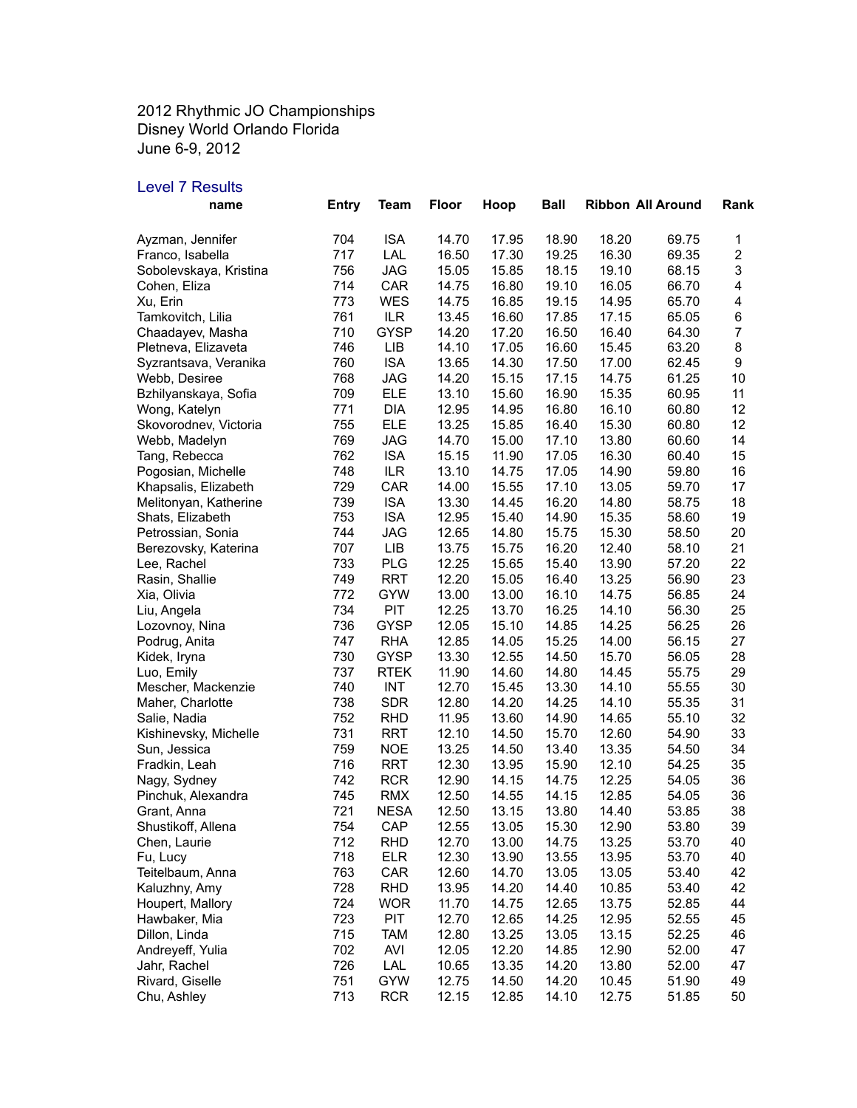2012 Rhythmic JO Championships Disney World Orlando Florida June 6-9, 2012

## Level 7 Results

| name                   | <b>Entry</b> | Team        | <b>Floor</b> | Hoop  | <b>Ball</b> |       | <b>Ribbon All Around</b> | Rank                    |
|------------------------|--------------|-------------|--------------|-------|-------------|-------|--------------------------|-------------------------|
| Ayzman, Jennifer       | 704          | <b>ISA</b>  | 14.70        | 17.95 | 18.90       | 18.20 | 69.75                    | 1                       |
| Franco, Isabella       | 717          | LAL         | 16.50        | 17.30 | 19.25       | 16.30 | 69.35                    | $\boldsymbol{2}$        |
| Sobolevskaya, Kristina | 756          | <b>JAG</b>  | 15.05        | 15.85 | 18.15       | 19.10 | 68.15                    | 3                       |
| Cohen, Eliza           | 714          | CAR         | 14.75        | 16.80 | 19.10       | 16.05 | 66.70                    | $\overline{\mathbf{4}}$ |
| Xu, Erin               | 773          | WES         | 14.75        | 16.85 | 19.15       | 14.95 | 65.70                    | $\overline{\mathbf{4}}$ |
| Tamkovitch, Lilia      | 761          | ILR         | 13.45        | 16.60 | 17.85       | 17.15 | 65.05                    | $\,6$                   |
| Chaadayev, Masha       | 710          | <b>GYSP</b> | 14.20        | 17.20 | 16.50       | 16.40 | 64.30                    | $\boldsymbol{7}$        |
| Pletneva, Elizaveta    | 746          | LIB         | 14.10        | 17.05 | 16.60       | 15.45 | 63.20                    | 8                       |
| Syzrantsava, Veranika  | 760          | <b>ISA</b>  | 13.65        | 14.30 | 17.50       | 17.00 | 62.45                    | 9                       |
| Webb, Desiree          | 768          | <b>JAG</b>  | 14.20        | 15.15 | 17.15       | 14.75 | 61.25                    | 10                      |
| Bzhilyanskaya, Sofia   | 709          | <b>ELE</b>  | 13.10        | 15.60 | 16.90       | 15.35 | 60.95                    | 11                      |
| Wong, Katelyn          | 771          | <b>DIA</b>  | 12.95        | 14.95 | 16.80       | 16.10 | 60.80                    | 12                      |
| Skovorodnev, Victoria  | 755          | <b>ELE</b>  | 13.25        | 15.85 | 16.40       | 15.30 | 60.80                    | 12                      |
| Webb, Madelyn          | 769          | <b>JAG</b>  | 14.70        | 15.00 | 17.10       | 13.80 | 60.60                    | 14                      |
| Tang, Rebecca          | 762          | <b>ISA</b>  | 15.15        | 11.90 | 17.05       | 16.30 | 60.40                    | 15                      |
| Pogosian, Michelle     | 748          | ILR         | 13.10        | 14.75 | 17.05       | 14.90 | 59.80                    | 16                      |
| Khapsalis, Elizabeth   | 729          | CAR         | 14.00        | 15.55 | 17.10       | 13.05 | 59.70                    | 17                      |
| Melitonyan, Katherine  | 739          | <b>ISA</b>  | 13.30        | 14.45 | 16.20       | 14.80 | 58.75                    | 18                      |
| Shats, Elizabeth       | 753          | <b>ISA</b>  | 12.95        | 15.40 | 14.90       | 15.35 | 58.60                    | 19                      |
| Petrossian, Sonia      | 744          | <b>JAG</b>  | 12.65        | 14.80 | 15.75       | 15.30 | 58.50                    | 20                      |
| Berezovsky, Katerina   | 707          | LIB         | 13.75        | 15.75 | 16.20       | 12.40 | 58.10                    | 21                      |
| Lee, Rachel            | 733          | <b>PLG</b>  | 12.25        | 15.65 | 15.40       | 13.90 | 57.20                    | 22                      |
| Rasin, Shallie         | 749          | <b>RRT</b>  | 12.20        | 15.05 | 16.40       | 13.25 | 56.90                    | 23                      |
| Xia, Olivia            | 772          | <b>GYW</b>  | 13.00        | 13.00 | 16.10       | 14.75 | 56.85                    | 24                      |
| Liu, Angela            | 734          | PIT         | 12.25        | 13.70 | 16.25       | 14.10 | 56.30                    | 25                      |
| Lozovnoy, Nina         | 736          | <b>GYSP</b> | 12.05        | 15.10 | 14.85       | 14.25 | 56.25                    | 26                      |
| Podrug, Anita          | 747          | <b>RHA</b>  | 12.85        | 14.05 | 15.25       | 14.00 | 56.15                    | 27                      |
| Kidek, Iryna           | 730          | GYSP        | 13.30        | 12.55 | 14.50       | 15.70 | 56.05                    | 28                      |
| Luo, Emily             | 737          | <b>RTEK</b> | 11.90        | 14.60 | 14.80       | 14.45 | 55.75                    | 29                      |
| Mescher, Mackenzie     | 740          | <b>INT</b>  | 12.70        | 15.45 | 13.30       | 14.10 | 55.55                    | 30                      |
| Maher, Charlotte       | 738          | <b>SDR</b>  | 12.80        | 14.20 | 14.25       | 14.10 | 55.35                    | 31                      |
| Salie, Nadia           | 752          | <b>RHD</b>  | 11.95        | 13.60 | 14.90       | 14.65 | 55.10                    | 32                      |
| Kishinevsky, Michelle  | 731          | <b>RRT</b>  | 12.10        | 14.50 | 15.70       | 12.60 | 54.90                    | 33                      |
| Sun, Jessica           | 759          | <b>NOE</b>  | 13.25        | 14.50 | 13.40       | 13.35 | 54.50                    | 34                      |
| Fradkin, Leah          | 716          | RRT         | 12.30        | 13.95 | 15.90       | 12.10 | 54.25                    | 35                      |
| Nagy, Sydney           | 742          | <b>RCR</b>  | 12.90        | 14.15 | 14.75       | 12.25 | 54.05                    | 36                      |
| Pinchuk, Alexandra     | 745          | <b>RMX</b>  | 12.50        | 14.55 | 14.15       | 12.85 | 54.05                    | 36                      |
| Grant, Anna            | 721          | <b>NESA</b> | 12.50        | 13.15 | 13.80       | 14.40 | 53.85                    | 38                      |
| Shustikoff, Allena     | 754          | CAP         | 12.55        | 13.05 | 15.30       | 12.90 | 53.80                    | 39                      |
| Chen, Laurie           | 712          | RHD         | 12.70        | 13.00 | 14.75       | 13.25 | 53.70                    | 40                      |
| Fu, Lucy               | 718          | <b>ELR</b>  | 12.30        | 13.90 | 13.55       | 13.95 | 53.70                    | 40                      |
| Teitelbaum, Anna       | 763          | CAR         | 12.60        | 14.70 | 13.05       | 13.05 | 53.40                    | 42                      |
| Kaluzhny, Amy          | 728          | <b>RHD</b>  | 13.95        | 14.20 | 14.40       | 10.85 | 53.40                    | 42                      |
| Houpert, Mallory       | 724          | <b>WOR</b>  | 11.70        | 14.75 | 12.65       | 13.75 | 52.85                    | 44                      |
| Hawbaker, Mia          | 723          | PIT         | 12.70        | 12.65 | 14.25       | 12.95 | 52.55                    | 45                      |
| Dillon, Linda          | 715          | <b>TAM</b>  | 12.80        | 13.25 | 13.05       | 13.15 | 52.25                    | 46                      |
| Andreyeff, Yulia       | 702          | AVI         | 12.05        | 12.20 | 14.85       | 12.90 | 52.00                    | 47                      |
| Jahr, Rachel           | 726          | LAL         | 10.65        | 13.35 | 14.20       | 13.80 | 52.00                    | 47                      |
| Rivard, Giselle        | 751          | <b>GYW</b>  | 12.75        | 14.50 | 14.20       | 10.45 | 51.90                    | 49                      |
| Chu, Ashley            | 713          | <b>RCR</b>  | 12.15        | 12.85 | 14.10       | 12.75 | 51.85                    | 50                      |